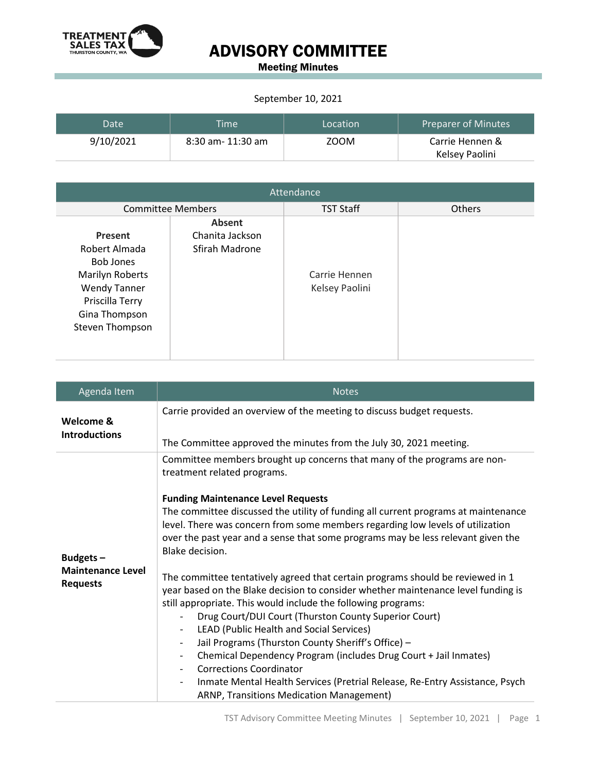

### ADVISORY COMMITTEE

Meeting Minutes

#### September 10, 2021

| Date      | <b>Time</b>       | Location | Preparer of Minutes |
|-----------|-------------------|----------|---------------------|
| 9/10/2021 | 8:30 am- 11:30 am | ZOOM     | Carrie Hennen &     |
|           |                   |          | Kelsey Paolini      |

| Attendance                                                                                                                                    |                                             |                                 |        |  |
|-----------------------------------------------------------------------------------------------------------------------------------------------|---------------------------------------------|---------------------------------|--------|--|
| <b>Committee Members</b>                                                                                                                      |                                             | <b>TST Staff</b>                | Others |  |
| Present<br>Robert Almada<br><b>Bob Jones</b><br>Marilyn Roberts<br><b>Wendy Tanner</b><br>Priscilla Terry<br>Gina Thompson<br>Steven Thompson | Absent<br>Chanita Jackson<br>Sfirah Madrone | Carrie Hennen<br>Kelsey Paolini |        |  |

| Agenda Item                                             | <b>Notes</b>                                                                                                                                                                                                                                                                                                                                                                                                                                                                                                                                                                                                                                                                                                                                                                 |
|---------------------------------------------------------|------------------------------------------------------------------------------------------------------------------------------------------------------------------------------------------------------------------------------------------------------------------------------------------------------------------------------------------------------------------------------------------------------------------------------------------------------------------------------------------------------------------------------------------------------------------------------------------------------------------------------------------------------------------------------------------------------------------------------------------------------------------------------|
| Welcome &<br><b>Introductions</b>                       | Carrie provided an overview of the meeting to discuss budget requests.                                                                                                                                                                                                                                                                                                                                                                                                                                                                                                                                                                                                                                                                                                       |
|                                                         | The Committee approved the minutes from the July 30, 2021 meeting.                                                                                                                                                                                                                                                                                                                                                                                                                                                                                                                                                                                                                                                                                                           |
|                                                         | Committee members brought up concerns that many of the programs are non-<br>treatment related programs.                                                                                                                                                                                                                                                                                                                                                                                                                                                                                                                                                                                                                                                                      |
|                                                         | <b>Funding Maintenance Level Requests</b>                                                                                                                                                                                                                                                                                                                                                                                                                                                                                                                                                                                                                                                                                                                                    |
| Budgets-<br><b>Maintenance Level</b><br><b>Requests</b> | The committee discussed the utility of funding all current programs at maintenance<br>level. There was concern from some members regarding low levels of utilization<br>over the past year and a sense that some programs may be less relevant given the<br>Blake decision.                                                                                                                                                                                                                                                                                                                                                                                                                                                                                                  |
|                                                         | The committee tentatively agreed that certain programs should be reviewed in 1<br>year based on the Blake decision to consider whether maintenance level funding is<br>still appropriate. This would include the following programs:<br>Drug Court/DUI Court (Thurston County Superior Court)<br>LEAD (Public Health and Social Services)<br>$\overline{\phantom{a}}$<br>Jail Programs (Thurston County Sheriff's Office) -<br>$\overline{\phantom{a}}$<br>Chemical Dependency Program (includes Drug Court + Jail Inmates)<br>$\overline{\phantom{a}}$<br><b>Corrections Coordinator</b><br>$\overline{\phantom{a}}$<br>Inmate Mental Health Services (Pretrial Release, Re-Entry Assistance, Psych<br>$\overline{\phantom{a}}$<br>ARNP, Transitions Medication Management) |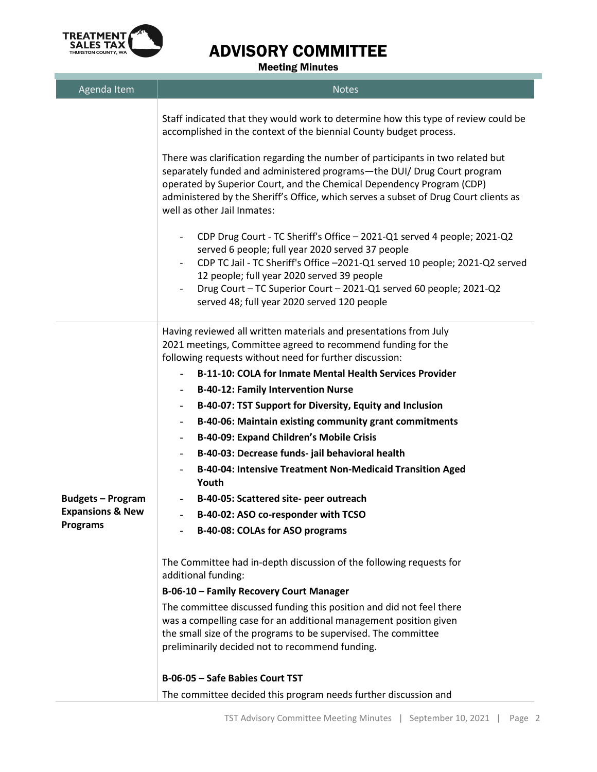

### ADVISORY COMMITTEE

Meeting Minutes

| Agenda Item                 | <b>Notes</b>                                                                                                                                                                                                                                                                                                                                                                                              |
|-----------------------------|-----------------------------------------------------------------------------------------------------------------------------------------------------------------------------------------------------------------------------------------------------------------------------------------------------------------------------------------------------------------------------------------------------------|
|                             | Staff indicated that they would work to determine how this type of review could be<br>accomplished in the context of the biennial County budget process.                                                                                                                                                                                                                                                  |
|                             | There was clarification regarding the number of participants in two related but<br>separately funded and administered programs-the DUI/ Drug Court program<br>operated by Superior Court, and the Chemical Dependency Program (CDP)<br>administered by the Sheriff's Office, which serves a subset of Drug Court clients as<br>well as other Jail Inmates:                                                |
|                             | CDP Drug Court - TC Sheriff's Office - 2021-Q1 served 4 people; 2021-Q2<br>served 6 people; full year 2020 served 37 people<br>CDP TC Jail - TC Sheriff's Office -2021-Q1 served 10 people; 2021-Q2 served<br>$\overline{\phantom{a}}$<br>12 people; full year 2020 served 39 people<br>Drug Court - TC Superior Court - 2021-Q1 served 60 people; 2021-Q2<br>served 48; full year 2020 served 120 people |
|                             | Having reviewed all written materials and presentations from July<br>2021 meetings, Committee agreed to recommend funding for the<br>following requests without need for further discussion:                                                                                                                                                                                                              |
|                             | <b>B-11-10: COLA for Inmate Mental Health Services Provider</b>                                                                                                                                                                                                                                                                                                                                           |
|                             | <b>B-40-12: Family Intervention Nurse</b><br>$\overline{\phantom{a}}$                                                                                                                                                                                                                                                                                                                                     |
|                             | B-40-07: TST Support for Diversity, Equity and Inclusion<br>-                                                                                                                                                                                                                                                                                                                                             |
|                             | B-40-06: Maintain existing community grant commitments<br>$\qquad \qquad \blacksquare$                                                                                                                                                                                                                                                                                                                    |
|                             | <b>B-40-09: Expand Children's Mobile Crisis</b><br>$\overline{\phantom{a}}$                                                                                                                                                                                                                                                                                                                               |
|                             | B-40-03: Decrease funds- jail behavioral health                                                                                                                                                                                                                                                                                                                                                           |
|                             | B-40-04: Intensive Treatment Non-Medicaid Transition Aged<br>Youth                                                                                                                                                                                                                                                                                                                                        |
| <b>Budgets - Program</b>    | B-40-05: Scattered site- peer outreach                                                                                                                                                                                                                                                                                                                                                                    |
| <b>Expansions &amp; New</b> | B-40-02: ASO co-responder with TCSO                                                                                                                                                                                                                                                                                                                                                                       |
| <b>Programs</b>             | B-40-08: COLAs for ASO programs                                                                                                                                                                                                                                                                                                                                                                           |
|                             | The Committee had in-depth discussion of the following requests for<br>additional funding:                                                                                                                                                                                                                                                                                                                |
|                             | B-06-10 - Family Recovery Court Manager                                                                                                                                                                                                                                                                                                                                                                   |
|                             | The committee discussed funding this position and did not feel there<br>was a compelling case for an additional management position given<br>the small size of the programs to be supervised. The committee<br>preliminarily decided not to recommend funding.                                                                                                                                            |
|                             | B-06-05 - Safe Babies Court TST                                                                                                                                                                                                                                                                                                                                                                           |
|                             | The committee decided this program needs further discussion and                                                                                                                                                                                                                                                                                                                                           |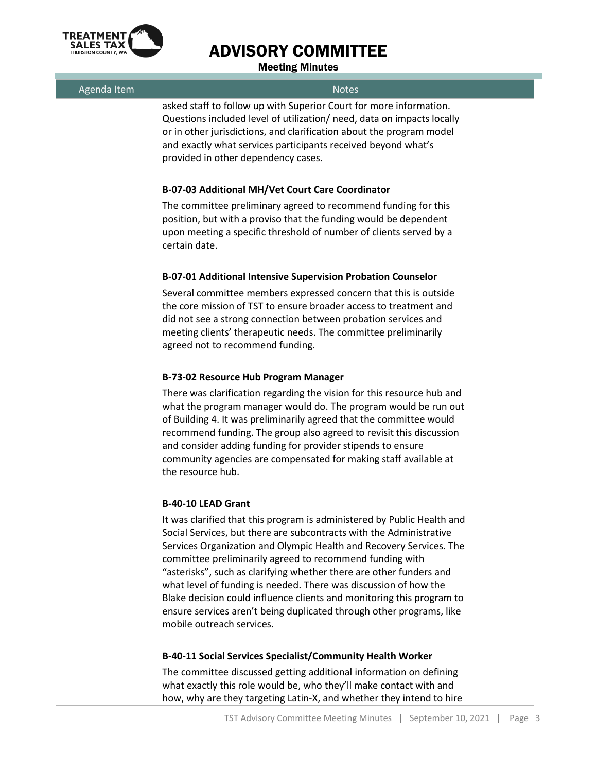

۰

## ADVISORY COMMITTEE

Meeting Minutes

| Agenda Item | <b>Notes</b>                                                                                                                                                                                                                                                                                                                                                                                                                                                                                                                                                                                               |
|-------------|------------------------------------------------------------------------------------------------------------------------------------------------------------------------------------------------------------------------------------------------------------------------------------------------------------------------------------------------------------------------------------------------------------------------------------------------------------------------------------------------------------------------------------------------------------------------------------------------------------|
|             | asked staff to follow up with Superior Court for more information.<br>Questions included level of utilization/ need, data on impacts locally<br>or in other jurisdictions, and clarification about the program model<br>and exactly what services participants received beyond what's<br>provided in other dependency cases.                                                                                                                                                                                                                                                                               |
|             | B-07-03 Additional MH/Vet Court Care Coordinator                                                                                                                                                                                                                                                                                                                                                                                                                                                                                                                                                           |
|             | The committee preliminary agreed to recommend funding for this<br>position, but with a proviso that the funding would be dependent<br>upon meeting a specific threshold of number of clients served by a<br>certain date.                                                                                                                                                                                                                                                                                                                                                                                  |
|             | <b>B-07-01 Additional Intensive Supervision Probation Counselor</b>                                                                                                                                                                                                                                                                                                                                                                                                                                                                                                                                        |
|             | Several committee members expressed concern that this is outside<br>the core mission of TST to ensure broader access to treatment and<br>did not see a strong connection between probation services and<br>meeting clients' therapeutic needs. The committee preliminarily<br>agreed not to recommend funding.                                                                                                                                                                                                                                                                                             |
|             | B-73-02 Resource Hub Program Manager                                                                                                                                                                                                                                                                                                                                                                                                                                                                                                                                                                       |
|             | There was clarification regarding the vision for this resource hub and<br>what the program manager would do. The program would be run out<br>of Building 4. It was preliminarily agreed that the committee would<br>recommend funding. The group also agreed to revisit this discussion<br>and consider adding funding for provider stipends to ensure<br>community agencies are compensated for making staff available at<br>the resource hub.                                                                                                                                                            |
|             | <b>B-40-10 LEAD Grant</b>                                                                                                                                                                                                                                                                                                                                                                                                                                                                                                                                                                                  |
|             | It was clarified that this program is administered by Public Health and<br>Social Services, but there are subcontracts with the Administrative<br>Services Organization and Olympic Health and Recovery Services. The<br>committee preliminarily agreed to recommend funding with<br>"asterisks", such as clarifying whether there are other funders and<br>what level of funding is needed. There was discussion of how the<br>Blake decision could influence clients and monitoring this program to<br>ensure services aren't being duplicated through other programs, like<br>mobile outreach services. |
|             | B-40-11 Social Services Specialist/Community Health Worker                                                                                                                                                                                                                                                                                                                                                                                                                                                                                                                                                 |
|             | The committee discussed getting additional information on defining<br>what exactly this role would be, who they'll make contact with and<br>how, why are they targeting Latin-X, and whether they intend to hire                                                                                                                                                                                                                                                                                                                                                                                           |